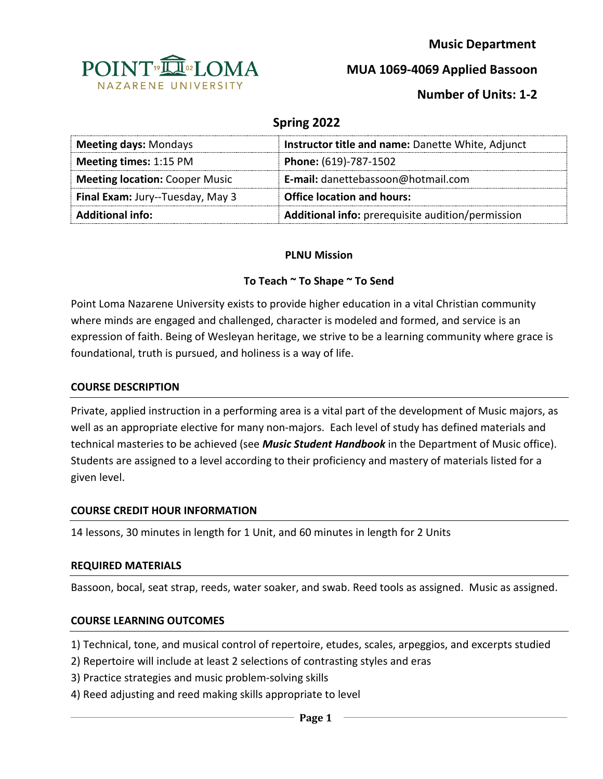

 **Music Department**

**MUA 1069-4069 Applied Bassoon**

# **Number of Units: 1-2**

## **Spring 2022**

| <b>Meeting days: Mondays</b>          | Instructor title and name: Danette White, Adjunct |
|---------------------------------------|---------------------------------------------------|
| <b>Meeting times: 1:15 PM</b>         | Phone: (619)-787-1502                             |
| <b>Meeting location: Cooper Music</b> | E-mail: danettebassoon@hotmail.com                |
| Final Exam: Jury--Tuesday, May 3      | <b>Office location and hours:</b>                 |
| <b>Additional info:</b>               | Additional info: prerequisite audition/permission |

### **PLNU Mission**

### **To Teach ~ To Shape ~ To Send**

Point Loma Nazarene University exists to provide higher education in a vital Christian community where minds are engaged and challenged, character is modeled and formed, and service is an expression of faith. Being of Wesleyan heritage, we strive to be a learning community where grace is foundational, truth is pursued, and holiness is a way of life.

#### **COURSE DESCRIPTION**

Private, applied instruction in a performing area is a vital part of the development of Music majors, as well as an appropriate elective for many non-majors. Each level of study has defined materials and technical masteries to be achieved (see *Music Student Handbook* in the Department of Music office). Students are assigned to a level according to their proficiency and mastery of materials listed for a given level.

#### **COURSE CREDIT HOUR INFORMATION**

14 lessons, 30 minutes in length for 1 Unit, and 60 minutes in length for 2 Units

#### **REQUIRED MATERIALS**

Bassoon, bocal, seat strap, reeds, water soaker, and swab. Reed tools as assigned. Music as assigned.

#### **COURSE LEARNING OUTCOMES**

1) Technical, tone, and musical control of repertoire, etudes, scales, arpeggios, and excerpts studied

- 2) Repertoire will include at least 2 selections of contrasting styles and eras
- 3) Practice strategies and music problem-solving skills
- 4) Reed adjusting and reed making skills appropriate to level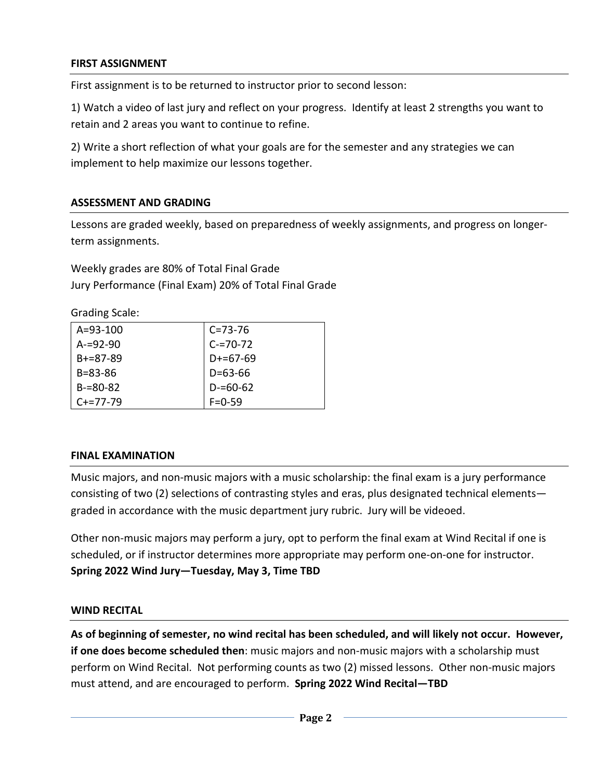### **FIRST ASSIGNMENT**

First assignment is to be returned to instructor prior to second lesson:

1) Watch a video of last jury and reflect on your progress. Identify at least 2 strengths you want to retain and 2 areas you want to continue to refine.

2) Write a short reflection of what your goals are for the semester and any strategies we can implement to help maximize our lessons together.

### **ASSESSMENT AND GRADING**

Lessons are graded weekly, based on preparedness of weekly assignments, and progress on longerterm assignments.

Weekly grades are 80% of Total Final Grade Jury Performance (Final Exam) 20% of Total Final Grade

Grading Scale:

| $A = 93 - 100$  | $C = 73 - 76$ |
|-----------------|---------------|
| $A = 92 - 90$   | $C = 70 - 72$ |
| $B + = 87 - 89$ | $D+=67-69$    |
| $B = 83 - 86$   | $D = 63 - 66$ |
| $B = 80 - 82$   | $D = 60 - 62$ |
| $C+=77-79$      | $F = 0.59$    |

#### **FINAL EXAMINATION**

Music majors, and non-music majors with a music scholarship: the final exam is a jury performance consisting of two (2) selections of contrasting styles and eras, plus designated technical elements graded in accordance with the music department jury rubric. Jury will be videoed.

Other non-music majors may perform a jury, opt to perform the final exam at Wind Recital if one is scheduled, or if instructor determines more appropriate may perform one-on-one for instructor. **Spring 2022 Wind Jury—Tuesday, May 3, Time TBD**

#### **WIND RECITAL**

**As of beginning of semester, no wind recital has been scheduled, and will likely not occur. However, if one does become scheduled then**: music majors and non-music majors with a scholarship must perform on Wind Recital. Not performing counts as two (2) missed lessons. Other non-music majors must attend, and are encouraged to perform. **Spring 2022 Wind Recital—TBD**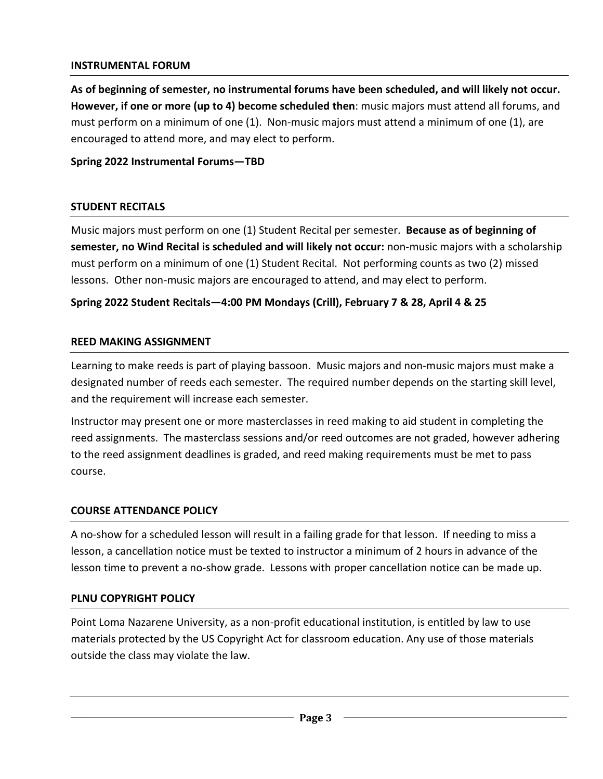### **INSTRUMENTAL FORUM**

**As of beginning of semester, no instrumental forums have been scheduled, and will likely not occur. However, if one or more (up to 4) become scheduled then**: music majors must attend all forums, and must perform on a minimum of one (1). Non-music majors must attend a minimum of one (1), are encouraged to attend more, and may elect to perform.

### **Spring 2022 Instrumental Forums—TBD**

### **STUDENT RECITALS**

Music majors must perform on one (1) Student Recital per semester. **Because as of beginning of semester, no Wind Recital is scheduled and will likely not occur:** non-music majors with a scholarship must perform on a minimum of one (1) Student Recital. Not performing counts as two (2) missed lessons. Other non-music majors are encouraged to attend, and may elect to perform.

### **Spring 2022 Student Recitals—4:00 PM Mondays (Crill), February 7 & 28, April 4 & 25**

#### **REED MAKING ASSIGNMENT**

Learning to make reeds is part of playing bassoon. Music majors and non-music majors must make a designated number of reeds each semester. The required number depends on the starting skill level, and the requirement will increase each semester.

Instructor may present one or more masterclasses in reed making to aid student in completing the reed assignments. The masterclass sessions and/or reed outcomes are not graded, however adhering to the reed assignment deadlines is graded, and reed making requirements must be met to pass course.

#### **COURSE ATTENDANCE POLICY**

A no-show for a scheduled lesson will result in a failing grade for that lesson. If needing to miss a lesson, a cancellation notice must be texted to instructor a minimum of 2 hours in advance of the lesson time to prevent a no-show grade. Lessons with proper cancellation notice can be made up.

#### **PLNU COPYRIGHT POLICY**

Point Loma Nazarene University, as a non-profit educational institution, is entitled by law to use materials protected by the US Copyright Act for classroom education. Any use of those materials outside the class may violate the law.